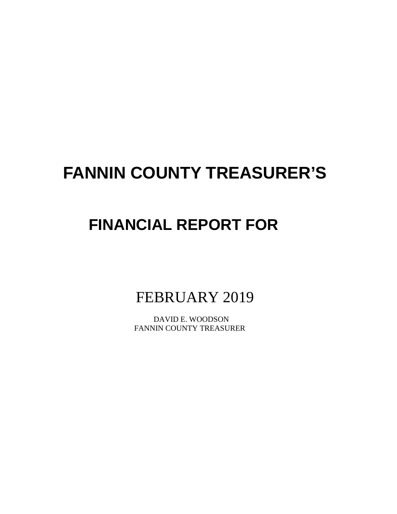# **FANNIN COUNTY TREASURER'S**

# **FINANCIAL REPORT FOR**

FEBRUARY 2019

 DAVID E. WOODSON FANNIN COUNTY TREASURER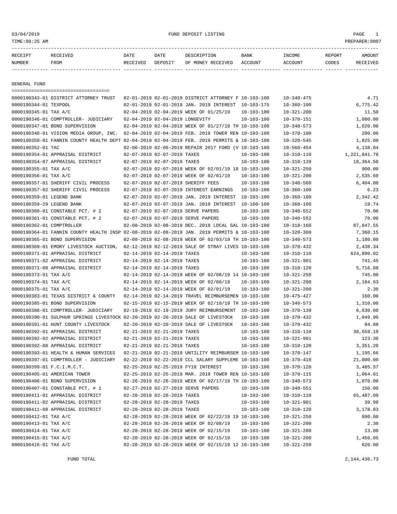# 03/04/2019 FUND DEPOSIT LISTING PAGE 1

| RECEIPT | <b>RECEIVED</b> | DATE            | DATE    | DESCRIPTION       | <b>BANK</b> | INCOME  | <b>REPORT</b> | AMOUNT          |
|---------|-----------------|-----------------|---------|-------------------|-------------|---------|---------------|-----------------|
| NUMBER  | FROM            | <b>RECEIVED</b> | DEPOSIT | OF MONEY RECEIVED | ACCOUNT     | ACCOUNT | CODES         | <b>RECEIVED</b> |
|         |                 |                 |         |                   |             |         |               |                 |

GENERAL FUND

|                            | =====================================                                                        |                                 |                                                                                                |                  |                  |              |
|----------------------------|----------------------------------------------------------------------------------------------|---------------------------------|------------------------------------------------------------------------------------------------|------------------|------------------|--------------|
|                            | 0000190343-01 DISTRICT ATTORNEY TRUST                                                        |                                 | 02-01-2019 02-01-2019 DISTRICT ATTORNEY F 10-103-100                                           |                  | $10 - 340 - 475$ | 4.71         |
| 0000190344-01 TEXPOOL      |                                                                                              |                                 | 02-01-2019 02-01-2019 JAN. 2019 INTEREST 10-103-175                                            |                  | $10 - 360 - 100$ | 6,775.42     |
| 0000190345-01 TAX A/C      |                                                                                              |                                 | 02-04-2019 02-04-2019 WEEK OF 01/25/19                                                         | $10 - 103 - 100$ | $10 - 321 - 200$ | 11.50        |
|                            | 0000190346-01 COMPTROLLER- JUDICIARY                                                         | 02-04-2019 02-04-2019 LONGEVITY |                                                                                                | $10 - 103 - 100$ | $10 - 370 - 151$ | 1,080.00     |
|                            | 0000190347-01 BOND SUPERVISION                                                               |                                 | 02-04-2019 02-04-2019 WEEK OF 01/27/19 TH 10-103-100                                           |                  | $10 - 340 - 573$ | 1,620.00     |
|                            | 0000190348-01 VISION MEDIA GROUP, INC.                                                       |                                 | 02-04-2019 02-04-2019 FEB. 2019 TOWER REN 10-103-100                                           |                  | $10 - 370 - 100$ | 200.00       |
|                            | 0000190350-01 FANNIN COUNTY HEALTH DEPT 02-04-2019 02-04-2019 FEB. 2019 PERMITS & 10-103-100 |                                 |                                                                                                |                  | $10 - 320 - 545$ | 1,825.00     |
| 0000190352-01 TAC          |                                                                                              |                                 | 02-06-2019 02-06-2019 REPAIR 2017 FORD (V 10-103-100                                           |                  | $10 - 560 - 454$ | 4,138.04     |
|                            | 0000190354-01 APPRAISAL DISTRICT                                                             | 02-07-2019 02-07-2019 TAXES     |                                                                                                | $10 - 103 - 100$ | $10 - 310 - 110$ | 1,221,841.78 |
|                            | 0000190354-07 APPRAISAL DISTRICT                                                             | 02-07-2019 02-07-2019 TAXES     |                                                                                                | $10 - 103 - 100$ | $10 - 310 - 120$ | 18,364.50    |
| 0000190355-01 TAX A/C      |                                                                                              |                                 | 02-07-2019 02-07-2019 WEEK OF 02/01/19 18 10-103-100                                           |                  | $10 - 321 - 250$ | 900.00       |
| 0000190356-01 TAX A/C      |                                                                                              |                                 | 02-07-2019 02-07-2019 WEEK OF 02/01/19                                                         | $10 - 103 - 100$ | $10 - 321 - 200$ | 2,535.60     |
|                            | 0000190357-01 SHERIFF CIVIL PROCESS                                                          |                                 | 02-07-2019 02-07-2019 SHERIFF FEES                                                             | $10 - 103 - 100$ | $10 - 340 - 560$ | 6,404.80     |
|                            | 0000190357-02 SHERIFF CIVIL PROCESS                                                          |                                 | 02-07-2019 02-07-2019 INTEREST EARNINGS                                                        | $10 - 103 - 100$ | $10 - 360 - 100$ | 6.23         |
| 0000190359-01 LEGEND BANK  |                                                                                              |                                 | 02-07-2019 02-07-2019 JAN. 2019 INTEREST 10-103-100                                            |                  | $10 - 360 - 100$ | 2,342.42     |
| 0000190359-29 LEGEND BANK  |                                                                                              |                                 | 02-07-2019 02-07-2019 JAN. 2019 INTEREST                                                       | $10 - 100 - 100$ | $10 - 360 - 100$ | 19.74        |
|                            | 0000190360-01 CONSTABLE PCT. # 2                                                             |                                 | 02-07-2019 02-07-2019 SERVE PAPERS                                                             | $10 - 103 - 100$ | $10 - 340 - 552$ | 70.00        |
|                            | 0000190361-01 CONSTABLE PCT. # 2                                                             |                                 | 02-07-2019 02-07-2019 SERVE PAPERS                                                             | $10 - 103 - 100$ | $10 - 340 - 552$ | 70.00        |
| 0000190362-01 COMPTROLLER  |                                                                                              |                                 | 02-08-2019 02-08-2019 DEC. 2018 LOCAL SAL 10-103-100                                           |                  | $10 - 318 - 160$ | 87,847.55    |
|                            | 0000190364-01 FANNIN COUNTY HEALTH INSP 02-08-2019 02-08-2019 JAN. 2019 PERMITS & 10-103-100 |                                 |                                                                                                |                  | $10 - 320 - 300$ | 7,360.15     |
|                            | 0000190365-01 BOND SUPERVISION                                                               |                                 | 02-08-2019 02-08-2019 WEEK OF 02/03/19 TH 10-103-100                                           |                  | $10 - 340 - 573$ | 1,180.00     |
|                            | 0000190369-01 EMORY LIVESTOCK AUCTION,                                                       |                                 | 02-12-2019 02-12-2019 SALE OF STRAY LIVES 10-103-100                                           |                  | $10 - 370 - 432$ | 2,438.34     |
|                            | 0000190371-01 APPRAISAL DISTRICT                                                             | 02-14-2019 02-14-2019 TAXES     |                                                                                                | $10 - 103 - 100$ | $10 - 310 - 110$ | 624,890.02   |
|                            | 0000190371-02 APPRAISAL DISTRICT                                                             | 02-14-2019 02-14-2019 TAXES     |                                                                                                | $10 - 103 - 100$ | $10 - 321 - 901$ | 741.45       |
|                            | 0000190371-08 APPRAISAL DISTRICT                                                             | 02-14-2019 02-14-2019 TAXES     |                                                                                                | $10 - 103 - 100$ | $10 - 310 - 120$ | 5,716.08     |
| 0000190373-01 TAX A/C      |                                                                                              |                                 | 02-14-2019 02-14-2019 WEEK OF 02/08/19 14 10-103-100                                           |                  | $10 - 321 - 250$ | 745.00       |
| 0000190374-01 TAX A/C      |                                                                                              |                                 | 02-14-2019 02-14-2019 WEEK OF 02/08/19                                                         | $10 - 103 - 100$ | $10 - 321 - 200$ | 2,184.63     |
| 0000190375-01 TAX A/C      |                                                                                              |                                 | 02-14-2019 02-14-2019 WEEK OF 02/01/19                                                         | $10 - 103 - 100$ | $10 - 321 - 200$ | 2.30         |
|                            | 0000190383-01 TEXAS DISTRICT & COUNTY                                                        |                                 | 02-14-2019 02-14-2019 TRAVEL REIMBURSEMEN 10-103-100                                           |                  | $10 - 475 - 427$ | 160.00       |
|                            | 0000190385-01 BOND SUPERVISION                                                               |                                 | 02-15-2019 02-15-2019 WEEK OF 02/10/19 TH 10-103-100                                           |                  | $10 - 340 - 573$ | 1,310.00     |
|                            | 0000190386-01 COMPTROLLER- JUDICIARY                                                         |                                 | 02-19-2019 02-19-2019 JURY REIMBURSEMENT 10-103-100                                            |                  | $10 - 370 - 139$ | 6,630.00     |
|                            | 0000190390-01 SULPHUR SPRINGS LIVESTOCK 02-20-2019 02-20-2019 SALE OF LIVESTOCK              |                                 |                                                                                                | $10 - 103 - 100$ | $10 - 370 - 432$ | 1,049.90     |
|                            | 0000190391-01 HUNT COUNTY LIVESTOCK                                                          |                                 | 02-20-2019 02-20-2019 SALE OF LIVESTOCK                                                        | $10 - 103 - 100$ | $10 - 370 - 432$ | 84.88        |
|                            | 0000190392-01 APPRAISAL DISTRICT                                                             | 02-21-2019 02-21-2019 TAXES     |                                                                                                | $10 - 103 - 100$ | $10 - 310 - 110$ | 30,659.10    |
|                            | 0000190392-02 APPRAISAL DISTRICT                                                             | 02-21-2019 02-21-2019 TAXES     |                                                                                                | $10 - 103 - 100$ | $10 - 321 - 901$ | 123.30       |
|                            | 0000190392-08 APPRAISAL DISTRICT                                                             | 02-21-2019 02-21-2019 TAXES     |                                                                                                | $10 - 103 - 100$ | $10 - 310 - 120$ | 3,351.20     |
|                            | 0000190393-01 HEALTH & HUMAN SERVICES                                                        |                                 | 02-21-2019 02-21-2019 UNTILITY REIMBURSEM 10-103-100                                           |                  | $10 - 370 - 147$ | 1,195.66     |
|                            | 0000190397-01 COMPTROLLER - JUDICIARY                                                        |                                 | 02-22-2019 02-22-2019 CCL SALARY SUPPLEME 10-103-100                                           |                  | $10 - 370 - 410$ | 21,000.00    |
| 0000190399-01 F.C.I.M.C.T. |                                                                                              |                                 | 02-25-2019 02-25-2019 FY18 INTEREST                                                            | $10 - 103 - 100$ | $10 - 370 - 120$ | 3,485.57     |
|                            | 0000190405-01 AMERICAN TOWER                                                                 |                                 | 02-25-2019 02-25-2019 MAR. 2019 TOWER REN 10-103-100                                           |                  | $10 - 370 - 115$ | 1,064.61     |
|                            | 0000190406-01 BOND SUPERVISION                                                               |                                 | 02-26-2019 02-26-2019 WEEK OF 02/17/19 TH 10-103-100                                           |                  | $10 - 340 - 573$ | 1,070.00     |
|                            | 0000190407-01 CONSTABLE PCT. # 1                                                             |                                 | 02-27-2019 02-27-2019 SERVE PAPERS                                                             |                  |                  | 150.00       |
|                            |                                                                                              |                                 |                                                                                                | 10-103-100       | $10 - 340 - 551$ |              |
|                            | 0000190411-01 APPRAISAL DISTRICT<br>0000190411-02 APPRAISAL DISTRICT                         | 02-28-2019 02-28-2019 TAXES     |                                                                                                | $10 - 103 - 100$ | $10 - 310 - 110$ | 65,487.09    |
|                            |                                                                                              | 02-28-2019 02-28-2019 TAXES     |                                                                                                | 10-103-100       | $10 - 321 - 901$ | 39.98        |
|                            | 0000190411-08 APPRAISAL DISTRICT                                                             | 02-28-2019 02-28-2019 TAXES     |                                                                                                | $10 - 103 - 100$ | $10 - 310 - 120$ | 3,178.03     |
| 0000190412-01 TAX A/C      |                                                                                              |                                 | 02-28-2019 02-28-2019 WEEK OF 02/22/19 19 10-103-100<br>02-28-2019 02-28-2019 WEEK OF 02/08/19 |                  | $10 - 321 - 250$ | 990.00       |
| 0000190413-01 TAX A/C      |                                                                                              |                                 |                                                                                                | $10 - 103 - 100$ | $10 - 321 - 200$ | 2.30         |
| 0000190414-01 TAX A/C      |                                                                                              |                                 | 02-28-2019 02-28-2019 WEEK OF 02/15/19<br>02-28-2019 02-28-2019 WEEK OF 02/15/19               | 10-103-100       | $10 - 321 - 200$ | 13.80        |
| 0000190415-01 TAX A/C      |                                                                                              |                                 |                                                                                                | $10 - 103 - 100$ | $10 - 321 - 200$ | 1,456.05     |
| 0000190416-01 TAX A/C      |                                                                                              |                                 | 02-28-2019 02-28-2019 WEEK OF 02/15/19 12 10-103-100                                           |                  | $10 - 321 - 250$ | 620.00       |

FUND TOTAL 2,144,436.73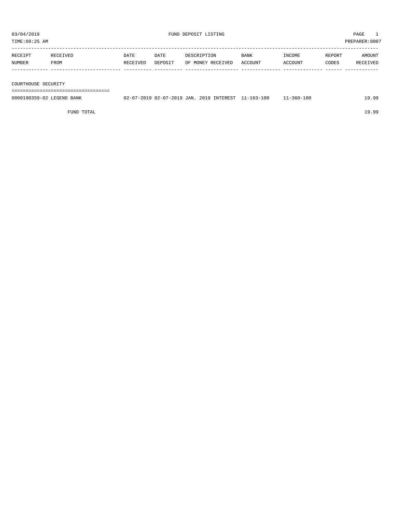| TIME:09:25 AM             |                               |                  |                 |             |                                                     |                        |                   |                 | PREPARER:0007      |
|---------------------------|-------------------------------|------------------|-----------------|-------------|-----------------------------------------------------|------------------------|-------------------|-----------------|--------------------|
| RECEIPT<br>NUMBER         | RECEIVED<br>FROM              | DATE<br>RECEIVED | DATE<br>DEPOSIT | DESCRIPTION | OF MONEY RECEIVED                                   | <b>BANK</b><br>ACCOUNT | INCOME<br>ACCOUNT | REPORT<br>CODES | AMOUNT<br>RECEIVED |
|                           |                               |                  |                 |             |                                                     |                        |                   |                 |                    |
| COURTHOUSE SECURITY       |                               |                  |                 |             |                                                     |                        |                   |                 |                    |
|                           | ============================= |                  |                 |             |                                                     |                        |                   |                 |                    |
| 0000190359-02 LEGEND BANK |                               |                  |                 |             | 02-07-2019 02-07-2019 JAN. 2019 INTEREST 11-103-100 |                        | $11 - 360 - 100$  |                 | 19.99              |

FUND TOTAL 19.99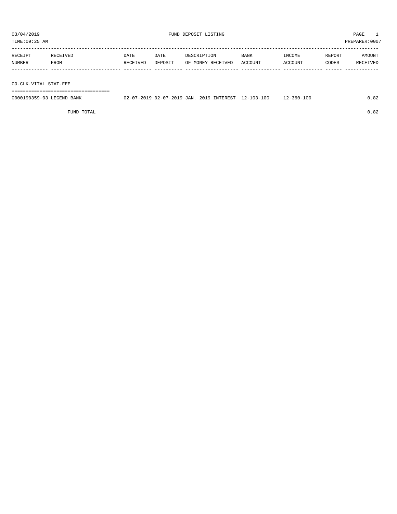TIME:09:25 AM PREPARER:0007

| RECEIPT | RECEIVED | DATE     | DATE    | DESCRIPTION       | <b>BANK</b> | INCOME  | REPORT | AMOUNT   |
|---------|----------|----------|---------|-------------------|-------------|---------|--------|----------|
| NUMBER  | FROM     | RECEIVED | DEPOSIT | OF MONEY RECEIVED | ACCOUNT     | ACCOUNT | CODES  | RECEIVED |
|         |          |          |         |                   |             |         |        |          |

CO.CLK.VITAL STAT.FEE

===================================

| 0000190359-03 LEGEND BANK | 02-07-2019 02-07-2019 JAN. 2019 INTEREST 1 |  |  | $12 - 103 - 100$ | $12 - 360 - 100$ |  |
|---------------------------|--------------------------------------------|--|--|------------------|------------------|--|
|                           |                                            |  |  |                  |                  |  |

FUND TOTAL  $0.82$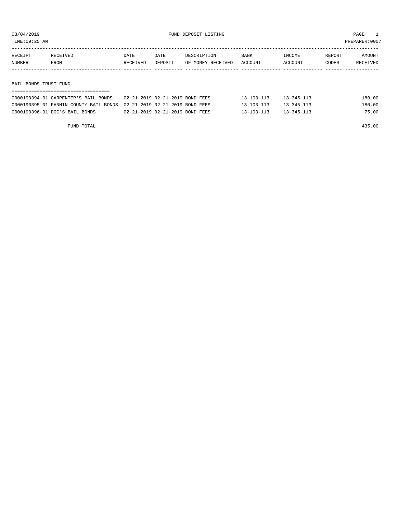TIME:09:25 AM PREPARER:0007

| RECEIPT               | RECEIVED | DATE     | DATE    | DESCRIPTION       | BANK    | INCOME  | REPORT | AMOUNT   |
|-----------------------|----------|----------|---------|-------------------|---------|---------|--------|----------|
| NUMBER                | FROM     | RECEIVED | DEPOSIT | OF MONEY RECEIVED | ACCOUNT | ACCOUNT | CODES  | RECEIVED |
|                       |          |          |         |                   |         |         |        |          |
|                       |          |          |         |                   |         |         |        |          |
| BAIL BONDS TRUST FUND |          |          |         |                   |         |         |        |          |
|                       |          |          |         |                   |         |         |        |          |

| 0000190394-01 CARPENTER'S BAIL BONDS                                   | 02-21-2019 02-21-2019 BOND FEES | $13 - 103 - 113$ | $13 - 345 - 113$ | 180.00 |
|------------------------------------------------------------------------|---------------------------------|------------------|------------------|--------|
| 0000190395-01 FANNIN COUNTY BAIL BONDS 02-21-2019 02-21-2019 BOND FEES |                                 | $13 - 103 - 113$ | $13 - 345 - 113$ | 180.00 |
| 0000190396-01 DOC'S BAIL BONDS                                         | 02-21-2019 02-21-2019 BOND FEES | $13 - 103 - 113$ | $13 - 345 - 113$ | 75.00  |

FUND TOTAL 435.00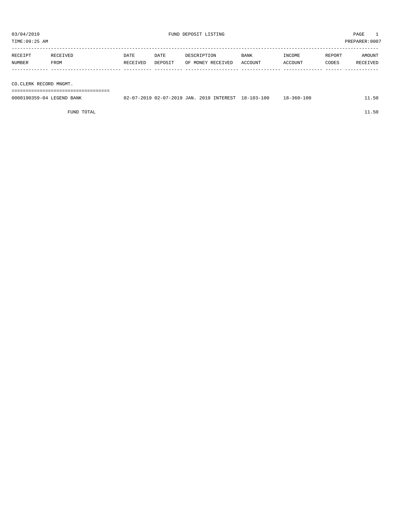| TIME:09:25 AM             |          |          |         |             |                   |                                                     |                  |        | PREPARER:0007 |
|---------------------------|----------|----------|---------|-------------|-------------------|-----------------------------------------------------|------------------|--------|---------------|
|                           |          |          |         |             |                   |                                                     |                  |        |               |
| RECEIPT                   | RECEIVED | DATE     | DATE    | DESCRIPTION |                   | BANK                                                | INCOME           | REPORT | AMOUNT        |
| NUMBER                    | FROM     | RECEIVED | DEPOSIT |             | OF MONEY RECEIVED | ACCOUNT                                             | ACCOUNT          | CODES  | RECEIVED      |
|                           |          |          |         |             |                   |                                                     |                  |        |               |
|                           |          |          |         |             |                   |                                                     |                  |        |               |
| CO.CLERK RECORD MNGMT.    |          |          |         |             |                   |                                                     |                  |        |               |
|                           |          |          |         |             |                   |                                                     |                  |        |               |
| 0000190359-04 LEGEND BANK |          |          |         |             |                   | 02-07-2019 02-07-2019 JAN. 2019 INTEREST 18-103-100 | $18 - 360 - 100$ |        | 11.50         |
|                           |          |          |         |             |                   |                                                     |                  |        |               |

FUND TOTAL  $11.50$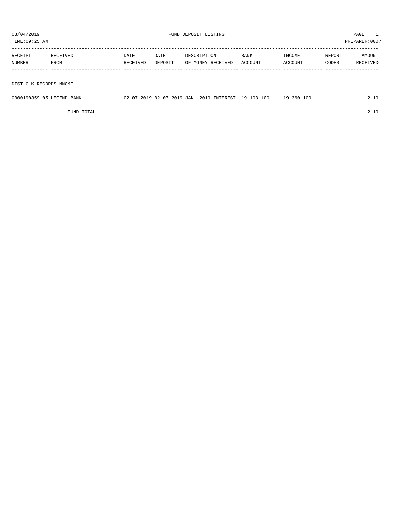TIME:09:25 AM PREPARER:0007

| RECEIPT | RECEIVED | DATE     | DATE    | DESCRIPTION       | <b>BANK</b> | INCOME  | REPORT | AMOUNT   |
|---------|----------|----------|---------|-------------------|-------------|---------|--------|----------|
| NUMBER  | FROM     | RECEIVED | DEPOSIT | OF MONEY RECEIVED | ACCOUNT     | ACCOUNT | CODES  | RECEIVED |
|         |          |          |         |                   |             |         |        |          |

DIST.CLK.RECORDS MNGMT.

===================================

| 0000190359-05 LEGEND BANK | 02-07-2019 02-07-2019 JAN. 2019 INTEREST 19-103-100 |  |  | 19-360-100 |  |
|---------------------------|-----------------------------------------------------|--|--|------------|--|
|                           |                                                     |  |  |            |  |

FUND TOTAL 2.19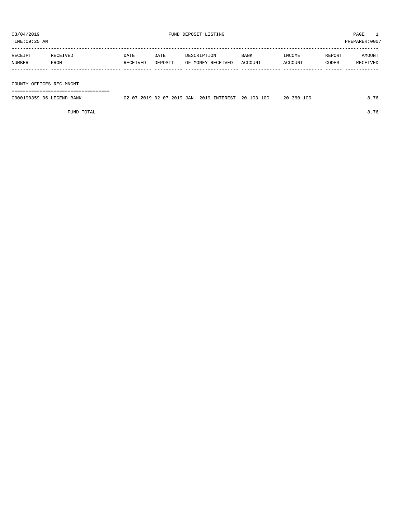TIME:09:25 AM PREPARER:0007

| RECEIPT | RECEIVED    | DATE     | DATE    | DESCRIPTION       | BANK    | INCOME  | REPORT | AMOUNT   |
|---------|-------------|----------|---------|-------------------|---------|---------|--------|----------|
| NUMBER  | <b>FROM</b> | RECEIVED | DEPOSIT | OF MONEY RECEIVED | ACCOUNT | ACCOUNT | CODES  | RECEIVED |
|         |             |          |         |                   |         |         |        |          |
|         |             |          |         |                   |         |         |        |          |

COUNTY OFFICES REC.MNGMT.

===================================

| 0000190359-06 LEGEND BANK | 02-07-2019 02-07-2019 JAN. 2019 INTEREST 20-103-100 |  | $20 - 360 - 100$ | 8.76 |
|---------------------------|-----------------------------------------------------|--|------------------|------|
|                           |                                                     |  |                  |      |

FUND TOTAL 8.76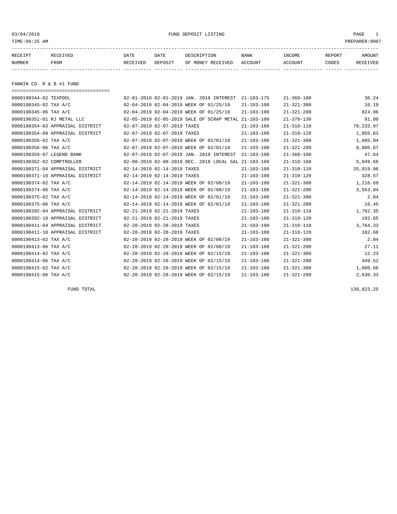03/04/2019 FUND DEPOSIT LISTING PAGE 1

| RECEIPT | <b>RECEIVED</b> | DATE            | DATE    | DESCRIPTION       | <b>BANK</b> | INCOME  | REPORT | AMOUNT          |
|---------|-----------------|-----------------|---------|-------------------|-------------|---------|--------|-----------------|
| NUMBER  | FROM            | <b>RECEIVED</b> | DEPOSIT | OF MONEY RECEIVED | ACCOUNT     | ACCOUNT | CODES  | <b>RECEIVED</b> |
|         |                 |                 |         |                   |             |         |        |                 |

FANNIN CO. R & B #1 FUND

| ===================================== |                             |                                                      |                  |                  |           |
|---------------------------------------|-----------------------------|------------------------------------------------------|------------------|------------------|-----------|
| 0000190344-02 TEXPOOL                 |                             | 02-01-2019 02-01-2019 JAN. 2019 INTEREST             | $21 - 103 - 175$ | $21 - 360 - 100$ | 36.24     |
| 0000190345-02 TAX A/C                 |                             | 02-04-2019 02-04-2019 WEEK OF 01/25/19               | $21 - 103 - 100$ | $21 - 321 - 300$ | 10.19     |
| 0000190345-06 TAX A/C                 |                             | 02-04-2019 02-04-2019 WEEK OF 01/25/19               | $21 - 103 - 100$ | $21 - 321 - 200$ | 824.96    |
| 0000190351-01 RJ METAL LLC            |                             | 02-05-2019 02-05-2019 SALE OF SCRAP METAL 21-103-100 |                  | $21 - 370 - 130$ | 91.80     |
| 0000190354-03 APPRAISAL DISTRICT      | 02-07-2019 02-07-2019 TAXES |                                                      | $21 - 103 - 100$ | $21 - 310 - 110$ | 70,233.97 |
| 0000190354-09 APPRAISAL DISTRICT      | 02-07-2019 02-07-2019 TAXES |                                                      | $21 - 103 - 100$ | $21 - 310 - 120$ | 1,055.63  |
| 0000190356-02 TAX A/C                 |                             | 02-07-2019 02-07-2019 WEEK OF 02/01/19               | $21 - 103 - 100$ | $21 - 321 - 300$ | 1,605.94  |
| 0000190356-06 TAX A/C                 |                             | 02-07-2019 02-07-2019 WEEK OF 02/01/19               | $21 - 103 - 100$ | $21 - 321 - 200$ | 8,805.67  |
| 0000190359-07 LEGEND BANK             |                             | 02-07-2019 02-07-2019 JAN. 2019 INTEREST             | $21 - 103 - 100$ | $21 - 360 - 100$ | 47.64     |
| 0000190362-02 COMPTROLLER             |                             | 02-08-2019 02-08-2019 DEC. 2018 LOCAL SAL 21-103-100 |                  | $21 - 318 - 160$ | 5,049.66  |
| 0000190371-04 APPRAISAL DISTRICT      | 02-14-2019 02-14-2019 TAXES |                                                      | $21 - 103 - 100$ | $21 - 310 - 110$ | 35,919.96 |
| 0000190371-10 APPRAISAL DISTRICT      | 02-14-2019 02-14-2019 TAXES |                                                      | $21 - 103 - 100$ | $21 - 310 - 120$ | 328.57    |
| 0000190374-02 TAX A/C                 |                             | 02-14-2019 02-14-2019 WEEK OF 02/08/19               | $21 - 103 - 100$ | $21 - 321 - 300$ | 1,216.69  |
| 0000190374-06 TAX A/C                 |                             | 02-14-2019 02-14-2019 WEEK OF 02/08/19               | $21 - 103 - 100$ | $21 - 321 - 200$ | 3,553.94  |
| 0000190375-02 TAX A/C                 |                             | 02-14-2019 02-14-2019 WEEK OF 02/01/19               | $21 - 103 - 100$ | $21 - 321 - 300$ | 2.04      |
| 0000190375-06 TAX A/C                 |                             | 02-14-2019 02-14-2019 WEEK OF 02/01/19               | $21 - 103 - 100$ | $21 - 321 - 200$ | 16.45     |
| 0000190392-04 APPRAISAL DISTRICT      | 02-21-2019 02-21-2019 TAXES |                                                      | $21 - 103 - 100$ | $21 - 310 - 110$ | 1,762.35  |
| 0000190392-10 APPRAISAL DISTRICT      | 02-21-2019 02-21-2019 TAXES |                                                      | $21 - 103 - 100$ | $21 - 310 - 120$ | 192.65    |
| 0000190411-04 APPRAISAL DISTRICT      | 02-28-2019 02-28-2019 TAXES |                                                      | $21 - 103 - 100$ | $21 - 310 - 110$ | 3,764.33  |
| 0000190411-10 APPRAISAL DISTRICT      | 02-28-2019 02-28-2019 TAXES |                                                      | $21 - 103 - 100$ | $21 - 310 - 120$ | 182.68    |
| 0000190413-02 TAX A/C                 |                             | 02-28-2019 02-28-2019 WEEK OF 02/08/19               | $21 - 103 - 100$ | $21 - 321 - 300$ | 2.04      |
| 0000190413-06 TAX A/C                 |                             | 02-28-2019 02-28-2019 WEEK OF 02/08/19               | $21 - 103 - 100$ | $21 - 321 - 200$ | 27.11     |
| 0000190414-02 TAX A/C                 |                             | 02-28-2019 02-28-2019 WEEK OF 02/15/19               | $21 - 103 - 100$ | $21 - 321 - 300$ | 12.23     |
| 0000190414-06 TAX A/C                 |                             | 02-28-2019 02-28-2019 WEEK OF 02/15/19               | $21 - 103 - 100$ | $21 - 321 - 200$ | 449.52    |
| 0000190415-02 TAX A/C                 |                             | 02-28-2019 02-28-2019 WEEK OF 02/15/19               | $21 - 103 - 100$ | $21 - 321 - 300$ | 1,000.66  |
| 0000190415-06 TAX A/C                 |                             | 02-28-2019 02-28-2019 WEEK OF 02/15/19               | $21 - 103 - 100$ | $21 - 321 - 200$ | 2,630.33  |

FUND TOTAL 138,823.25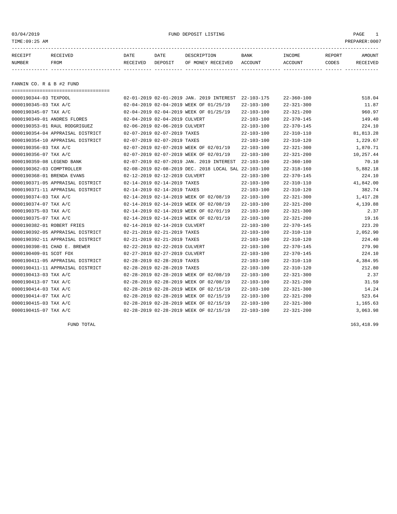03/04/2019 FUND DEPOSIT LISTING PAGE 1

| RECEIPT | <b>RECEIVED</b> | DATE     | DATE    | DESCRIPTION          | <b>BANK</b>    | INCOME  | <b>REPORT</b> | AMOUNT          |
|---------|-----------------|----------|---------|----------------------|----------------|---------|---------------|-----------------|
| NUMBER  | FROM            | RECEIVED | DEPOSIT | RECEIVED<br>OF MONEY | <b>ACCOUNT</b> | ACCOUNT | CODES         | <b>RECEIVED</b> |
|         |                 |          |         |                      |                |         |               |                 |

FANNIN CO. R & B #2 FUND

===================================

| 0000190344-03 TEXPOOL       |                                  |                               | 02-01-2019 02-01-2019 JAN. 2019 INTEREST             | 22-103-175       | $22 - 360 - 100$ | 518.04    |
|-----------------------------|----------------------------------|-------------------------------|------------------------------------------------------|------------------|------------------|-----------|
| 0000190345-03 TAX A/C       |                                  |                               | 02-04-2019 02-04-2019 WEEK OF 01/25/19               | $22 - 103 - 100$ | $22 - 321 - 300$ | 11.87     |
| 0000190345-07 TAX A/C       |                                  |                               | 02-04-2019 02-04-2019 WEEK OF 01/25/19               | $22 - 103 - 100$ | $22 - 321 - 200$ | 960.97    |
| 0000190349-01 ANDRES FLORES |                                  | 02-04-2019 02-04-2019 CULVERT |                                                      | $22 - 103 - 100$ | $22 - 370 - 145$ | 149.40    |
|                             | 0000190353-01 RAUL RODGRIGUEZ    | 02-06-2019 02-06-2019 CULVERT |                                                      | $22 - 103 - 100$ | $22 - 370 - 145$ | 224.10    |
|                             | 0000190354-04 APPRAISAL DISTRICT | 02-07-2019 02-07-2019 TAXES   |                                                      | $22 - 103 - 100$ | $22 - 310 - 110$ | 81,813.28 |
|                             | 0000190354-10 APPRAISAL DISTRICT | 02-07-2019 02-07-2019 TAXES   |                                                      | $22 - 103 - 100$ | $22 - 310 - 120$ | 1,229.67  |
| 0000190356-03 TAX A/C       |                                  |                               | 02-07-2019 02-07-2019 WEEK OF 02/01/19               | $22 - 103 - 100$ | $22 - 321 - 300$ | 1,870.71  |
| 0000190356-07 TAX A/C       |                                  |                               | 02-07-2019 02-07-2019 WEEK OF 02/01/19               | $22 - 103 - 100$ | $22 - 321 - 200$ | 10,257.44 |
| 0000190359-08 LEGEND BANK   |                                  |                               | 02-07-2019 02-07-2019 JAN. 2019 INTEREST             | $22 - 103 - 100$ | $22 - 360 - 100$ | 70.10     |
| 0000190362-03 COMPTROLLER   |                                  |                               | 02-08-2019 02-08-2019 DEC. 2018 LOCAL SAL 22-103-100 |                  | $22 - 318 - 160$ | 5,882.18  |
| 0000190368-01 BRENDA EVANS  |                                  | 02-12-2019 02-12-2019 CULVERT |                                                      | $22 - 103 - 100$ | $22 - 370 - 145$ | 224.10    |
|                             | 0000190371-05 APPRAISAL DISTRICT | 02-14-2019 02-14-2019 TAXES   |                                                      | $22 - 103 - 100$ | $22 - 310 - 110$ | 41,842.00 |
|                             | 0000190371-11 APPRAISAL DISTRICT | 02-14-2019 02-14-2019 TAXES   |                                                      | $22 - 103 - 100$ | $22 - 310 - 120$ | 382.74    |
| 0000190374-03 TAX A/C       |                                  |                               | 02-14-2019 02-14-2019 WEEK OF 02/08/19               | $22 - 103 - 100$ | $22 - 321 - 300$ | 1,417.28  |
| 0000190374-07 TAX A/C       |                                  |                               | 02-14-2019 02-14-2019 WEEK OF 02/08/19               | $22 - 103 - 100$ | $22 - 321 - 200$ | 4,139.88  |
| 0000190375-03 TAX A/C       |                                  |                               | 02-14-2019 02-14-2019 WEEK OF 02/01/19               | $22 - 103 - 100$ | $22 - 321 - 300$ | 2.37      |
| 0000190375-07 TAX A/C       |                                  |                               | 02-14-2019 02-14-2019 WEEK OF 02/01/19               | $22 - 103 - 100$ | $22 - 321 - 200$ | 19.16     |
| 0000190382-01 ROBERT FRIES  |                                  | 02-14-2019 02-14-2019 CULVERT |                                                      | $22 - 103 - 100$ | $22 - 370 - 145$ | 223.20    |
|                             | 0000190392-05 APPRAISAL DISTRICT | 02-21-2019 02-21-2019 TAXES   |                                                      | $22 - 103 - 100$ | $22 - 310 - 110$ | 2,052.90  |
|                             | 0000190392-11 APPRAISAL DISTRICT | 02-21-2019 02-21-2019 TAXES   |                                                      | $22 - 103 - 100$ | $22 - 310 - 120$ | 224.40    |
|                             | 0000190398-01 CHAD E. BREWER     | 02-22-2019 02-22-2019 CULVERT |                                                      | $22 - 103 - 100$ | $22 - 370 - 145$ | 279.90    |
| 0000190409-01 SCOT FOX      |                                  | 02-27-2019 02-27-2019 CULVERT |                                                      | $22 - 103 - 100$ | $22 - 370 - 145$ | 224.10    |
|                             | 0000190411-05 APPRAISAL DISTRICT | 02-28-2019 02-28-2019 TAXES   |                                                      | $22 - 103 - 100$ | $22 - 310 - 110$ | 4,384.95  |
|                             | 0000190411-11 APPRAISAL DISTRICT | 02-28-2019 02-28-2019 TAXES   |                                                      | $22 - 103 - 100$ | $22 - 310 - 120$ | 212.80    |
| 0000190413-03 TAX A/C       |                                  |                               | 02-28-2019 02-28-2019 WEEK OF 02/08/19               | $22 - 103 - 100$ | $22 - 321 - 300$ | 2.37      |
| 0000190413-07 TAX A/C       |                                  |                               | 02-28-2019 02-28-2019 WEEK OF 02/08/19               | $22 - 103 - 100$ | $22 - 321 - 200$ | 31.59     |
| 0000190414-03 TAX A/C       |                                  |                               | 02-28-2019 02-28-2019 WEEK OF 02/15/19               | $22 - 103 - 100$ | $22 - 321 - 300$ | 14.24     |
| 0000190414-07 TAX A/C       |                                  |                               | 02-28-2019 02-28-2019 WEEK OF 02/15/19               | $22 - 103 - 100$ | $22 - 321 - 200$ | 523.64    |
| 0000190415-03 TAX A/C       |                                  |                               | 02-28-2019 02-28-2019 WEEK OF 02/15/19               | $22 - 103 - 100$ | $22 - 321 - 300$ | 1,165.63  |
| 0000190415-07 TAX A/C       |                                  |                               | 02-28-2019 02-28-2019 WEEK OF 02/15/19               | $22 - 103 - 100$ | $22 - 321 - 200$ | 3,063.98  |

FUND TOTAL 163,418.99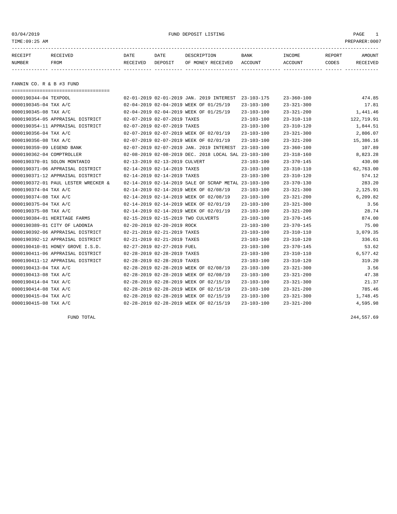03/04/2019 FUND DEPOSIT LISTING PAGE 1

| RECEIPT | <b>RECEIVED</b> | DATE            | DATE    | DESCRIPTION       | <b>BANK</b> | <b>INCOME</b> | REPORT | AMOUNT          |
|---------|-----------------|-----------------|---------|-------------------|-------------|---------------|--------|-----------------|
| NUMBER  | FROM            | <b>RECEIVED</b> | DEPOSIT | OF MONEY RECEIVED | ACCOUNT     | ACCOUNT       | CODES  | <b>RECEIVED</b> |
|         |                 |                 |         |                   |             |               |        |                 |

FANNIN CO. R & B #3 FUND

| ====================================== |                                                      |                  |                  |            |
|----------------------------------------|------------------------------------------------------|------------------|------------------|------------|
| 0000190344-04 TEXPOOL                  | 02-01-2019 02-01-2019 JAN. 2019 INTEREST 23-103-175  |                  | $23 - 360 - 100$ | 474.85     |
| 0000190345-04 TAX A/C                  | 02-04-2019 02-04-2019 WEEK OF 01/25/19               | $23 - 103 - 100$ | $23 - 321 - 300$ | 17.81      |
| 0000190345-08 TAX A/C                  | 02-04-2019 02-04-2019 WEEK OF 01/25/19               | $23 - 103 - 100$ | $23 - 321 - 200$ | 1,441.46   |
| 0000190354-05 APPRAISAL DISTRICT       | 02-07-2019 02-07-2019 TAXES                          | $23 - 103 - 100$ | $23 - 310 - 110$ | 122,719.91 |
| 0000190354-11 APPRAISAL DISTRICT       | 02-07-2019 02-07-2019 TAXES                          | $23 - 103 - 100$ | $23 - 310 - 120$ | 1,844.51   |
| 0000190356-04 TAX A/C                  | 02-07-2019 02-07-2019 WEEK OF 02/01/19               | 23-103-100       | $23 - 321 - 300$ | 2,806.07   |
| 0000190356-08 TAX A/C                  | 02-07-2019 02-07-2019 WEEK OF 02/01/19               | $23 - 103 - 100$ | $23 - 321 - 200$ | 15,386.16  |
| 0000190359-09 LEGEND BANK              | 02-07-2019 02-07-2019 JAN. 2019 INTEREST             | 23-103-100       | $23 - 360 - 100$ | 107.89     |
| 0000190362-04 COMPTROLLER              | 02-08-2019 02-08-2019 DEC. 2018 LOCAL SAL 23-103-100 |                  | $23 - 318 - 160$ | 8,823.28   |
| 0000190370-01 SOLON MONTANIO           | 02-13-2019 02-13-2019 CULVERT                        | $23 - 103 - 100$ | $23 - 370 - 145$ | 430.00     |
| 0000190371-06 APPRAISAL DISTRICT       | 02-14-2019 02-14-2019 TAXES                          | 23-103-100       | $23 - 310 - 110$ | 62,763.00  |
| 0000190371-12 APPRAISAL DISTRICT       | 02-14-2019 02-14-2019 TAXES                          | $23 - 103 - 100$ | $23 - 310 - 120$ | 574.12     |
| 0000190372-01 PAUL LESTER WRECKER &    | 02-14-2019 02-14-2019 SALE OF SCRAP METAL 23-103-100 |                  | $23 - 370 - 130$ | 283.20     |
| 0000190374-04 TAX A/C                  | 02-14-2019 02-14-2019 WEEK OF 02/08/19               | $23 - 103 - 100$ | $23 - 321 - 300$ | 2,125.91   |
| 0000190374-08 TAX A/C                  | 02-14-2019 02-14-2019 WEEK OF 02/08/19               | $23 - 103 - 100$ | $23 - 321 - 200$ | 6,209.82   |
| 0000190375-04 TAX A/C                  | 02-14-2019 02-14-2019 WEEK OF 02/01/19               | $23 - 103 - 100$ | $23 - 321 - 300$ | 3.56       |
| 0000190375-08 TAX A/C                  | 02-14-2019 02-14-2019 WEEK OF 02/01/19               | $23 - 103 - 100$ | $23 - 321 - 200$ | 28.74      |
| 0000190384-01 HERITAGE FARMS           | 02-15-2019 02-15-2019 TWO CULVERTS                   | $23 - 103 - 100$ | $23 - 370 - 145$ | 874.00     |
| 0000190389-01 CITY OF LADONIA          | 02-20-2019 02-20-2019 ROCK                           | $23 - 103 - 100$ | $23 - 370 - 145$ | 75.00      |
| 0000190392-06 APPRAISAL DISTRICT       | 02-21-2019 02-21-2019 TAXES                          | $23 - 103 - 100$ | $23 - 310 - 110$ | 3,079.35   |
| 0000190392-12 APPRAISAL DISTRICT       | 02-21-2019 02-21-2019 TAXES                          | $23 - 103 - 100$ | $23 - 310 - 120$ | 336.61     |
| 0000190410-01 HONEY GROVE I.S.D.       | 02-27-2019 02-27-2019 FUEL                           | $23 - 103 - 100$ | $23 - 370 - 145$ | 53.62      |
| 0000190411-06 APPRAISAL DISTRICT       | 02-28-2019 02-28-2019 TAXES                          | 23-103-100       | $23 - 310 - 110$ | 6,577.42   |
| 0000190411-12 APPRAISAL DISTRICT       | 02-28-2019 02-28-2019 TAXES                          | $23 - 103 - 100$ | $23 - 310 - 120$ | 319.20     |
| 0000190413-04 TAX A/C                  | 02-28-2019 02-28-2019 WEEK OF 02/08/19               | $23 - 103 - 100$ | $23 - 321 - 300$ | 3.56       |
| 0000190413-08 TAX A/C                  | 02-28-2019 02-28-2019 WEEK OF 02/08/19               | $23 - 103 - 100$ | $23 - 321 - 200$ | 47.38      |
| 0000190414-04 TAX A/C                  | 02-28-2019 02-28-2019 WEEK OF 02/15/19               | $23 - 103 - 100$ | $23 - 321 - 300$ | 21.37      |
| 0000190414-08 TAX A/C                  | 02-28-2019 02-28-2019 WEEK OF 02/15/19               | $23 - 103 - 100$ | $23 - 321 - 200$ | 785.46     |
| 0000190415-04 TAX A/C                  | 02-28-2019 02-28-2019 WEEK OF 02/15/19               | $23 - 103 - 100$ | $23 - 321 - 300$ | 1,748.45   |
| 0000190415-08 TAX A/C                  | 02-28-2019 02-28-2019 WEEK OF 02/15/19               | $23 - 103 - 100$ | $23 - 321 - 200$ | 4,595.98   |

FUND TOTAL 244,557.69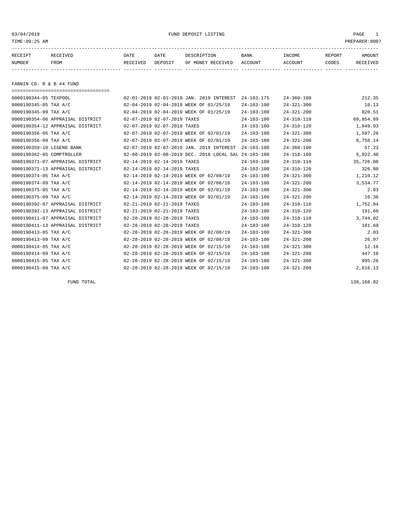03/04/2019 FUND DEPOSIT LISTING PAGE 1

| RECEIPT | <b>RECEIVED</b> | DATE            | DATE    | DESCRIPTION       | <b>BANK</b> | <b>INCOME</b> | REPORT | AMOUNT          |
|---------|-----------------|-----------------|---------|-------------------|-------------|---------------|--------|-----------------|
| NUMBER  | FROM            | <b>RECEIVED</b> | DEPOSIT | OF MONEY RECEIVED | ACCOUNT     | ACCOUNT       | CODES  | <b>RECEIVED</b> |
|         |                 |                 |         |                   |             |               |        |                 |

FANNIN CO. R & B #4 FUND

| ===================================== |                             |                                                      |                  |                  |           |
|---------------------------------------|-----------------------------|------------------------------------------------------|------------------|------------------|-----------|
| 0000190344-05 TEXPOOL                 |                             | 02-01-2019 02-01-2019 JAN. 2019 INTEREST             | $24 - 103 - 175$ | $24 - 360 - 100$ | 212.35    |
| 0000190345-05 TAX A/C                 |                             | 02-04-2019 02-04-2019 WEEK OF 01/25/19               | $24 - 103 - 100$ | $24 - 321 - 300$ | 10.13     |
| 0000190345-09 TAX A/C                 |                             | 02-04-2019 02-04-2019 WEEK OF 01/25/19               | $24 - 103 - 100$ | $24 - 321 - 200$ | 820.51    |
| 0000190354-06 APPRAISAL DISTRICT      | 02-07-2019 02-07-2019 TAXES |                                                      | $24 - 103 - 100$ | $24 - 310 - 110$ | 69,854.89 |
| 0000190354-12 APPRAISAL DISTRICT      | 02-07-2019 02-07-2019 TAXES |                                                      | $24 - 103 - 100$ | $24 - 310 - 120$ | 1,049.93  |
| 0000190356-05 TAX A/C                 |                             | 02-07-2019 02-07-2019 WEEK OF 02/01/19               | $24 - 103 - 100$ | $24 - 321 - 300$ | 1,597.28  |
| 0000190356-09 TAX A/C                 |                             | 02-07-2019 02-07-2019 WEEK OF 02/01/19               | $24 - 103 - 100$ | $24 - 321 - 200$ | 8,758.14  |
| 0000190359-10 LEGEND BANK             |                             | 02-07-2019 02-07-2019 JAN. 2019 INTEREST             | $24 - 103 - 100$ | $24 - 360 - 100$ | 57.23     |
| 0000190362-05 COMPTROLLER             |                             | 02-08-2019 02-08-2019 DEC. 2018 LOCAL SAL 24-103-100 |                  | $24 - 318 - 160$ | 5,022.40  |
| 0000190371-07 APPRAISAL DISTRICT      | 02-14-2019 02-14-2019 TAXES |                                                      | $24 - 103 - 100$ | $24 - 310 - 110$ | 35,726.08 |
| 0000190371-13 APPRAISAL DISTRICT      | 02-14-2019 02-14-2019 TAXES |                                                      | $24 - 103 - 100$ | $24 - 310 - 120$ | 326.80    |
| 0000190374-05 TAX A/C                 |                             | 02-14-2019 02-14-2019 WEEK OF 02/08/19               | $24 - 103 - 100$ | $24 - 321 - 300$ | 1,210.12  |
| 0000190374-09 TAX A/C                 |                             | 02-14-2019 02-14-2019 WEEK OF 02/08/19               | $24 - 103 - 100$ | $24 - 321 - 200$ | 3,534.77  |
| 0000190375-05 TAX A/C                 |                             | 02-14-2019 02-14-2019 WEEK OF 02/01/19               | $24 - 103 - 100$ | $24 - 321 - 300$ | 2.03      |
| 0000190375-09 TAX A/C                 |                             | 02-14-2019 02-14-2019 WEEK OF 02/01/19               | $24 - 103 - 100$ | $24 - 321 - 200$ | 16.36     |
| 0000190392-07 APPRAISAL DISTRICT      | 02-21-2019 02-21-2019 TAXES |                                                      | $24 - 103 - 100$ | $24 - 310 - 110$ | 1,752.84  |
| 0000190392-13 APPRAISAL DISTRICT      | 02-21-2019 02-21-2019 TAXES |                                                      | $24 - 103 - 100$ | $24 - 310 - 120$ | 191.60    |
| 0000190411-07 APPRAISAL DISTRICT      | 02-28-2019 02-28-2019 TAXES |                                                      | $24 - 103 - 100$ | $24 - 310 - 110$ | 3,744.02  |
| 0000190411-13 APPRAISAL DISTRICT      | 02-28-2019 02-28-2019 TAXES |                                                      | $24 - 103 - 100$ | $24 - 310 - 120$ | 181.69    |
| 0000190413-05 TAX A/C                 |                             | 02-28-2019 02-28-2019 WEEK OF 02/08/19               | $24 - 103 - 100$ | $24 - 321 - 300$ | 2.03      |
| 0000190413-09 TAX A/C                 |                             | 02-28-2019 02-28-2019 WEEK OF 02/08/19               | $24 - 103 - 100$ | $24 - 321 - 200$ | 26.97     |
| 0000190414-05 TAX A/C                 |                             | 02-28-2019 02-28-2019 WEEK OF 02/15/19               | $24 - 103 - 100$ | $24 - 321 - 300$ | 12.16     |
| 0000190414-09 TAX A/C                 |                             | 02-28-2019 02-28-2019 WEEK OF 02/15/19               | $24 - 103 - 100$ | $24 - 321 - 200$ | 447.10    |
| 0000190415-05 TAX A/C                 |                             | 02-28-2019 02-28-2019 WEEK OF 02/15/19               | $24 - 103 - 100$ | $24 - 321 - 300$ | 995.26    |
| 0000190415-09 TAX A/C                 |                             | 02-28-2019 02-28-2019 WEEK OF 02/15/19               | $24 - 103 - 100$ | $24 - 321 - 200$ | 2,616.13  |

FUND TOTAL 138,168.82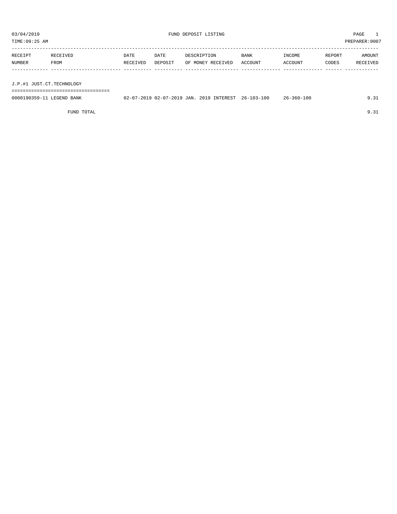TIME:09:25 AM PREPARER:0007

| RECEIPT                   | RECEIVED | DATE     | DATE    | DESCRIPTION       | <b>BANK</b> | INCOME  | REPORT | AMOUNT   |
|---------------------------|----------|----------|---------|-------------------|-------------|---------|--------|----------|
| NUMBER                    | FROM     | RECEIVED | DEPOSIT | OF MONEY RECEIVED | ACCOUNT     | ACCOUNT | CODES  | RECEIVED |
|                           |          |          |         |                   |             |         |        |          |
|                           |          |          |         |                   |             |         |        |          |
| J.P.#1 JUST.CT.TECHNOLOGY |          |          |         |                   |             |         |        |          |

===================================

| 0000190359-11 LEGEND BANK |  |  | 02-07-2019 02-07-2019 JAN. 2019 INTEREST 26-103-100 | 26-360-100 | 9.31 |
|---------------------------|--|--|-----------------------------------------------------|------------|------|
|                           |  |  |                                                     |            |      |

FUND TOTAL 9.31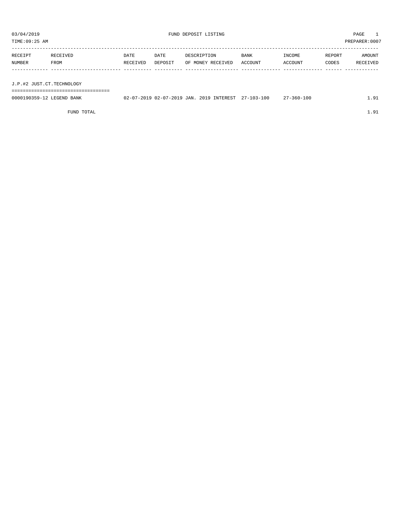TIME:09:25 AM PREPARER:0007

| RECEIPT | RECEIVED | DATE     | DATE    | DESCRIPTION       | <b>BANK</b> | INCOME  | REPORT | AMOUNT   |
|---------|----------|----------|---------|-------------------|-------------|---------|--------|----------|
| NUMBER  | FROM     | RECEIVED | DEPOSIT | OF MONEY RECEIVED | ACCOUNT     | ACCOUNT | CODES  | RECEIVED |
|         |          |          |         |                   |             |         |        |          |
|         |          |          |         |                   |             |         |        |          |

J.P.#2 JUST.CT.TECHNOLOGY

===================================

| 0000190359-12 LEGEND BANK | 02-07-2019 02-07-2019 JAN. | $\mu$ . 2019 INTEREST f | $27 - 103 - 100$ | 7-360-100<br>$\sim$ | $^{\circ}$ 1 |
|---------------------------|----------------------------|-------------------------|------------------|---------------------|--------------|
|                           |                            |                         |                  |                     |              |

FUND TOTAL  $1.91$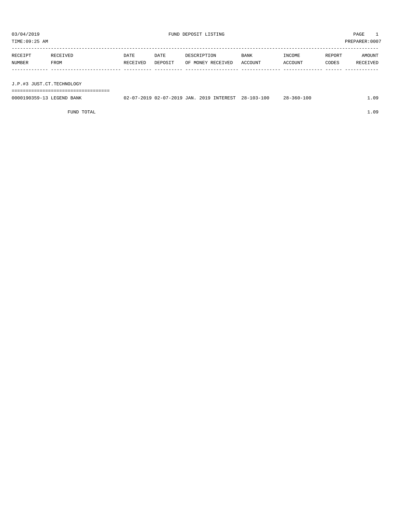TIME:09:25 AM PREPARER:0007

| RECEIPT                   | RECEIVED | DATE     | DATE    | DESCRIPTION       | BANK    | INCOME  | REPORT | AMOUNT   |
|---------------------------|----------|----------|---------|-------------------|---------|---------|--------|----------|
| NUMBER                    | FROM     | RECEIVED | DEPOSIT | OF MONEY RECEIVED | ACCOUNT | ACCOUNT | CODES  | RECEIVED |
|                           |          |          |         |                   |         |         |        |          |
| J.P.#3 JUST.CT.TECHNOLOGY |          |          |         |                   |         |         |        |          |

===================================

| 0000190359-13<br><b>TRABIRY</b><br>BANK<br>LEGEND. | 7-2019 JAN<br>$\sqrt{7}$<br>-2019 02-<br>$\sim$<br>$U \wedge U$ | 2019 INTEREST | $-100$<br>$28 - 103 - 1$ | $28 - 360 - 100$ | 1.09 |
|----------------------------------------------------|-----------------------------------------------------------------|---------------|--------------------------|------------------|------|

FUND TOTAL 1.09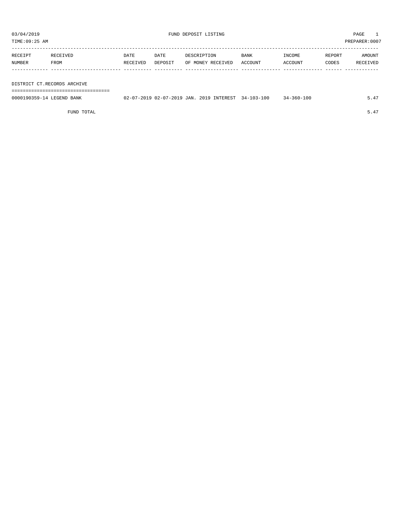TIME:09:25 AM PREPARER:0007

| RECEIPT | RECEIVED | DATE     | DATE    | DESCRIPTION       | <b>BANK</b> | INCOME  | REPORT | AMOUNT   |
|---------|----------|----------|---------|-------------------|-------------|---------|--------|----------|
| NUMBER  | FROM     | RECEIVED | DEPOSIT | OF MONEY RECEIVED | ACCOUNT     | ACCOUNT | CODES  | RECEIVED |
|         |          |          |         |                   |             |         |        |          |

DISTRICT CT.RECORDS ARCHIVE

===================================

| 0000190359-14 LEGEND BANK | 02-07-2019 02-07-2019 JAN. 2019 INTEREST 34-103-100 |  |  | $34 - 360 - 100$ | 5.47 |
|---------------------------|-----------------------------------------------------|--|--|------------------|------|
|                           |                                                     |  |  |                  |      |

FUND TOTAL  $5.47$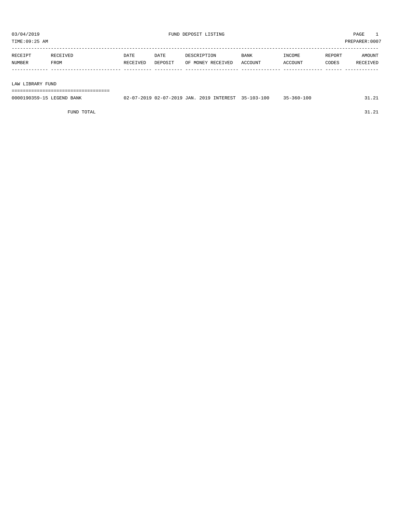|         | TIME:09:25 AM    |          |          |         |                   |             |         |        | PREPARER: 0007 |
|---------|------------------|----------|----------|---------|-------------------|-------------|---------|--------|----------------|
|         |                  |          |          |         |                   |             |         |        |                |
| RECEIPT |                  | RECEIVED | DATE     | DATE    | DESCRIPTION       | <b>BANK</b> | INCOME  | REPORT | AMOUNT         |
| NUMBER  |                  | FROM     | RECEIVED | DEPOSIT | OF MONEY RECEIVED | ACCOUNT     | ACCOUNT | CODES  | RECEIVED       |
|         |                  |          |          |         |                   |             |         |        |                |
|         |                  |          |          |         |                   |             |         |        |                |
|         | LAW LIBRARY FUND |          |          |         |                   |             |         |        |                |
|         |                  |          |          |         |                   |             |         |        |                |

0000190359-15 LEGEND BANK 02-07-2019 02-07-2019 JAN. 2019 INTEREST 35-103-100 35-360-100 31.21

FUND TOTAL 31.21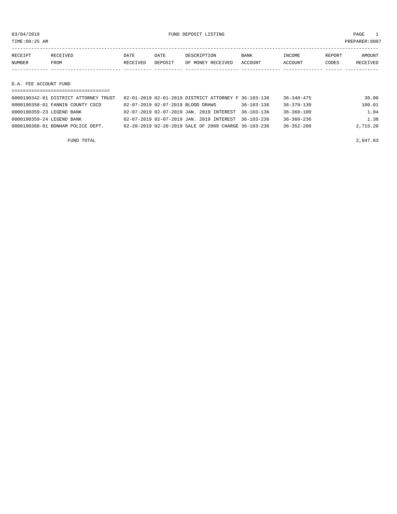03/04/2019 FUND DEPOSIT LISTING PAGE 1

| RECEIPT       | RECEIVED | DATE     | DATE    | DESCRIPTION       | <b>BANK</b> | INCOME  | REPORT | AMOUNT          |
|---------------|----------|----------|---------|-------------------|-------------|---------|--------|-----------------|
| <b>NUMBER</b> | FROM     | RECEIVED | DEPOSIT | OF MONEY RECEIVED | ACCOUNT     | ACCOUNT | CODES  | <b>RECEIVED</b> |
|               |          |          |         |                   |             |         |        |                 |
|               |          |          |         |                   |             |         |        |                 |

D.A. FEE ACCOUNT FUND

| 0000190342-01 DISTRICT ATTORNEY TRUST | 02-01-2019 02-01-2019 DISTRICT ATTORNEY F 36-103-136 |                  | 36-340-475       | 30.00    |
|---------------------------------------|------------------------------------------------------|------------------|------------------|----------|
| 0000190358-01 FANNIN COUNTY CSCD      | 02-07-2019 02-07-2019 BLOOD DRAWS                    | $36 - 103 - 136$ | $36 - 370 - 130$ | 100.01   |
| 0000190359-23 LEGEND BANK             | 02-07-2019 02-07-2019 JAN. 2019 INTEREST             | $36 - 103 - 136$ | $36 - 360 - 100$ | 1.04     |
| 0000190359-24 LEGEND BANK             | 02-07-2019 02-07-2019 JAN, 2019 INTEREST 36-103-236  |                  | $36 - 360 - 236$ | 1.38     |
| 0000190388-01 BONHAM POLICE DEPT.     | 02-20-2019 02-20-2019 SALE OF 2009 CHARGE 36-103-236 |                  | $36 - 352 - 200$ | 2,715.20 |
|                                       |                                                      |                  |                  |          |

FUND TOTAL  $2,847.63$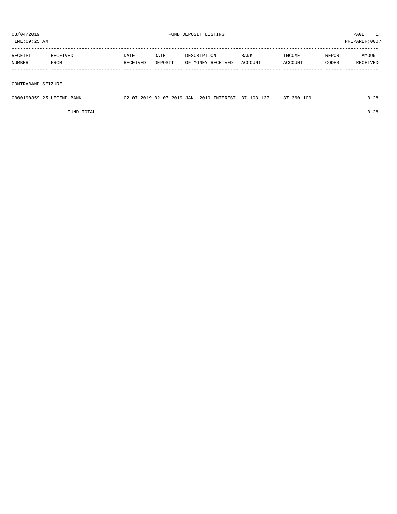TIME:09:25 AM PREPARER:0007 -----------------------------------------------------------------------------------------------------------------------------------

| <b>RECEIPT</b> |      | DATE                | DATE           |              | BANK | "NCOME         | <b>RPORT</b> |                     |
|----------------|------|---------------------|----------------|--------------|------|----------------|--------------|---------------------|
| NUMBER         | FROM | <b>ETVED</b><br>ロロム | <b>DEPOSTT</b> | IVEI<br>∩F ⊺ |      | <b>MAULINU</b> | CODES        | <b>TVEF</b><br>יה ח |
|                |      |                     |                |              |      |                |              |                     |

### CONTRABAND SEIZURE

===================================

| 0000190359-25 LEGEND BANK |  |  | 02-07-2019 02-07-2019 JAN. 2019 INTEREST 37-103-137 | $37 - 360 - 100$ | 0.28 |
|---------------------------|--|--|-----------------------------------------------------|------------------|------|
|                           |  |  |                                                     |                  |      |

FUND TOTAL 0.28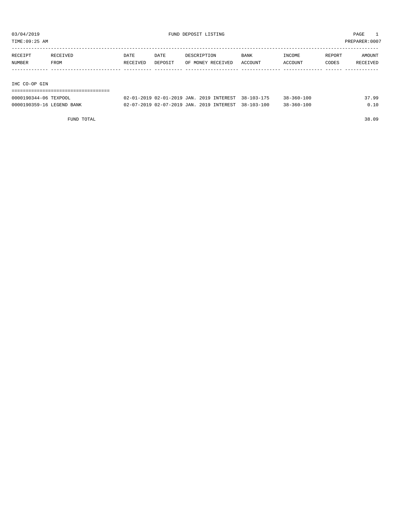TIME:09:25 AM PREPARER:0007

| RECEIPT       | RECEIVED | DATE     | DATE    | DESCRIPTION       | BANK    | INCOME  | REPORT | AMOUNT   |
|---------------|----------|----------|---------|-------------------|---------|---------|--------|----------|
| NUMBER        | FROM     | RECEIVED | DEPOSIT | OF MONEY RECEIVED | ACCOUNT | ACCOUNT | CODES  | RECEIVED |
|               |          |          |         |                   |         |         |        |          |
|               |          |          |         |                   |         |         |        |          |
| IHC CO-OP GIN |          |          |         |                   |         |         |        |          |

===================================

| 0000190344-06 TEXPOOL     | 02-01-2019 02-01-2019 JAN. 2019 INTEREST 38-103-175 |  | $38 - 360 - 100$ | 37.99 |
|---------------------------|-----------------------------------------------------|--|------------------|-------|
| 0000190359-16 LEGEND BANK | 02-07-2019 02-07-2019 JAN. 2019 INTEREST 38-103-100 |  | $38 - 360 - 100$ | 0.10  |

FUND TOTAL 38.09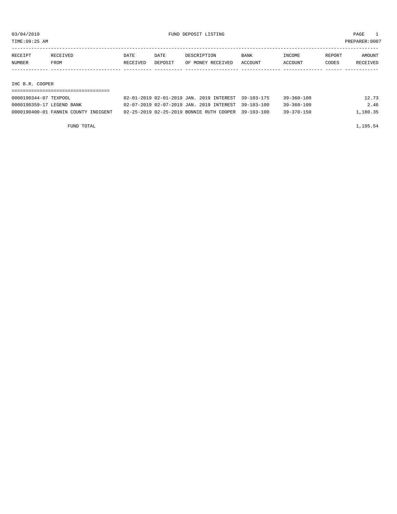| TIME: 09:25 AM |                           |                                      |          |         |                                          |                  |                  |        | PREPARER: 0007 |
|----------------|---------------------------|--------------------------------------|----------|---------|------------------------------------------|------------------|------------------|--------|----------------|
|                |                           |                                      |          |         |                                          |                  |                  |        |                |
|                | RECEIPT                   | RECEIVED                             | DATE     | DATE    | DESCRIPTION                              | <b>BANK</b>      | INCOME           | REPORT | AMOUNT         |
|                | NUMBER                    | FROM                                 | RECEIVED | DEPOSIT | OF MONEY RECEIVED                        | ACCOUNT          | ACCOUNT          | CODES  | RECEIVED       |
|                |                           |                                      |          |         |                                          |                  |                  |        |                |
|                |                           |                                      |          |         |                                          |                  |                  |        |                |
|                | IHC B.R. COOPER           |                                      |          |         |                                          |                  |                  |        |                |
|                |                           |                                      |          |         |                                          |                  |                  |        |                |
|                | 0000190344-07 TEXPOOL     |                                      |          |         | 02-01-2019 02-01-2019 JAN. 2019 INTEREST | $39 - 103 - 175$ | $39 - 360 - 100$ |        | 12.73          |
|                | 0000190359-17 LEGEND BANK |                                      |          |         | 02-07-2019 02-07-2019 JAN. 2019 INTEREST | $39 - 103 - 100$ | $39 - 360 - 100$ |        | 2.46           |
|                |                           | 0000190400-01 FANNIN COUNTY INDIGENT |          |         | 02-25-2019 02-25-2019 BONNIE RUTH COOPER | $39 - 103 - 100$ | $39 - 370 - 150$ |        | 1,180.35       |
|                |                           |                                      |          |         |                                          |                  |                  |        |                |

| FUND TOTAL | 1,195.54 |
|------------|----------|
|------------|----------|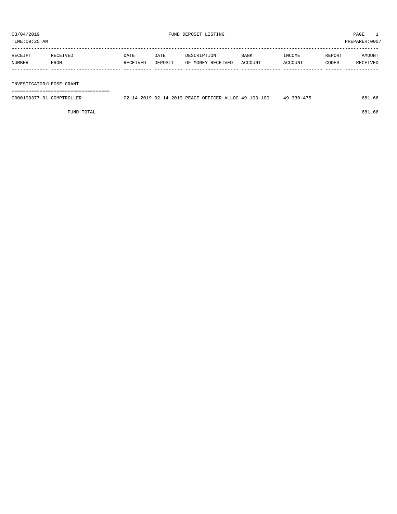TIME:09:25 AM PREPARER:0007

| RECEIPT | RECEIVED    | DATE     | DATE    | DESCRIPTION       | <b>BANK</b> | INCOME         | REPORT | AMOUNT   |
|---------|-------------|----------|---------|-------------------|-------------|----------------|--------|----------|
| NUMBER  | <b>FROM</b> | RECEIVED | DEPOSIT | OF MONEY RECEIVED | ACCOUNT     | <b>ACCOUNT</b> | CODES  | RECEIVED |
|         |             |          |         |                   |             |                |        |          |

INVESTIGATOR/LEOSE GRANT

===================================

| 0000190377-01 COMPTROLLER | 02-14-2019 02-14-2019 PEACE OFFICER ALLOC 49-103-100 |  | $49 - 330 - 475$ | 681.66 |
|---------------------------|------------------------------------------------------|--|------------------|--------|
|                           |                                                      |  |                  |        |

 $FUND$  total contracts to the contract of  $681.66$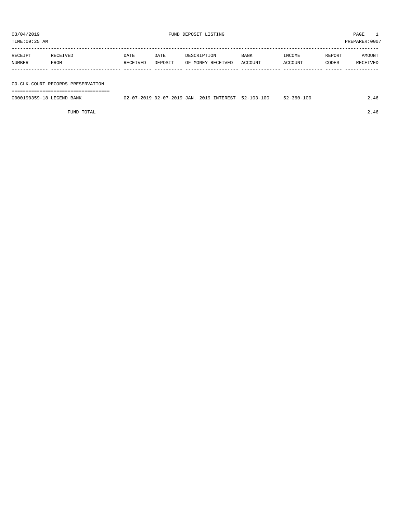TIME:09:25 AM PREPARER:0007

| RECEIPT | RECEIVED | DATE     | DATE    | DESCRIPTION       | <b>BANK</b> | INCOME  | REPORT | AMOUNT   |
|---------|----------|----------|---------|-------------------|-------------|---------|--------|----------|
| NUMBER  | FROM     | RECEIVED | DEPOSIT | OF MONEY RECEIVED | ACCOUNT     | ACCOUNT | CODES  | RECEIVED |
|         |          |          |         |                   |             |         |        |          |

CO.CLK.COURT RECORDS PRESERVATION

===================================

| 0000190359-18 LEGEND BANK | 02-07-2019 02-07-2019 JAN. 2019 INTEREST 52-103-100 |  | $52 - 360 - 100$ | 4.46 |
|---------------------------|-----------------------------------------------------|--|------------------|------|
|                           |                                                     |  |                  |      |

FUND TOTAL 2.46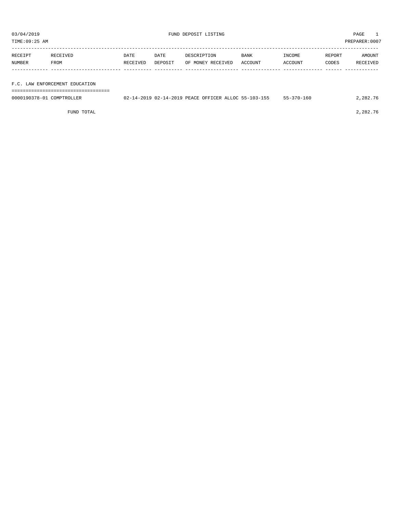| 03/04/2019<br>TIME:09:25 AM |          |          |         | FUND DEPOSIT LISTING |             |         |        | PAGE<br>PREPARER:0007 |
|-----------------------------|----------|----------|---------|----------------------|-------------|---------|--------|-----------------------|
| RECEIPT                     | RECEIVED | DATE     | DATE    | DESCRIPTION          | <b>BANK</b> | INCOME  | REPORT | AMOUNT                |
| NUMBER                      | FROM     | RECEIVED | DEPOSIT | OF MONEY RECEIVED    | ACCOUNT     | ACCOUNT | CODES  | RECEIVED              |

F.C. LAW ENFORCEMENT EDUCATION

| ------------------------  |                                                      |                  |          |
|---------------------------|------------------------------------------------------|------------------|----------|
| 0000190378-01 COMPTROLLER | 02-14-2019 02-14-2019 PEACE OFFICER ALLOC 55-103-155 | $55 - 370 - 160$ | 2,282.76 |
|                           |                                                      |                  |          |

FUND TOTAL 2,282.76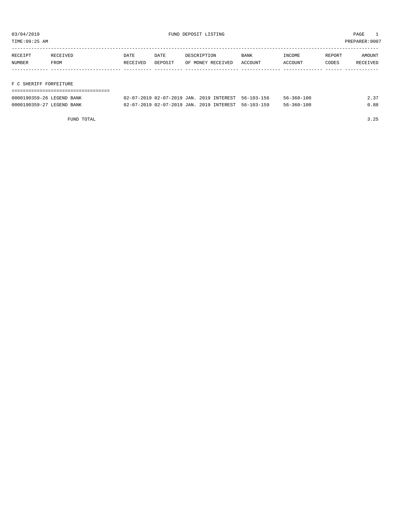TIME:09:25 AM PREPARER:0007

| RECEIPT                | RECEIVED | DATE     | DATE    | DESCRIPTION       | <b>BANK</b> | INCOME  | REPORT | AMOUNT   |
|------------------------|----------|----------|---------|-------------------|-------------|---------|--------|----------|
| NUMBER                 | FROM     | RECEIVED | DEPOSIT | OF MONEY RECEIVED | ACCOUNT     | ACCOUNT | CODES  | RECEIVED |
|                        |          |          |         |                   |             |         |        |          |
|                        |          |          |         |                   |             |         |        |          |
| F C SHERIFF FORFEITURE |          |          |         |                   |             |         |        |          |

| ------------------------- |                                                     |  |                  |      |
|---------------------------|-----------------------------------------------------|--|------------------|------|
| 0000190359-26 LEGEND BANK | 02-07-2019 02-07-2019 JAN. 2019 INTEREST 56-103-156 |  | $56 - 360 - 100$ | 2.37 |
| 0000190359-27 LEGEND BANK | 02-07-2019 02-07-2019 JAN. 2019 INTEREST 56-103-159 |  | $56 - 360 - 100$ | 0.88 |

FUND TOTAL 3.25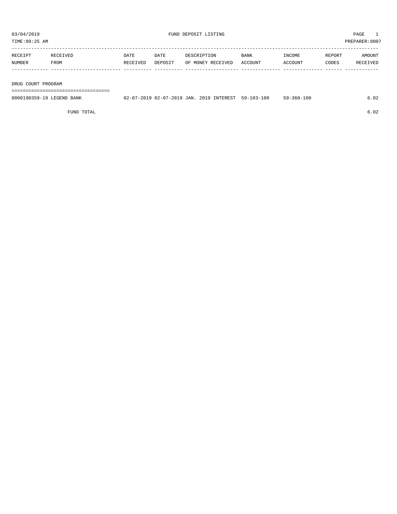TIME:09:25 AM PREPARER:0007

| RECEIPT | RECEIVED | DATE     | DATE    | DESCRIPTION       | <b>BANK</b> | <b>TNCOME</b> | REPORT | AMOUNT          |
|---------|----------|----------|---------|-------------------|-------------|---------------|--------|-----------------|
| NUMBER  | FROM     | RECEIVED | DEPOSIT | OF MONEY RECEIVED | ACCOUNT     | ACCOUNT       | CODES  | <b>RECEIVED</b> |
|         |          |          |         |                   |             |               |        |                 |

DRUG COURT PROGRAM

===================================

| 0000190359-19 LEGEND BANK | 02-07-2019 02-07-2019 JAN. 2019 INTEREST |  |  | $59 - 103 - 100$ | $59 - 360 - 100$ |  |
|---------------------------|------------------------------------------|--|--|------------------|------------------|--|
|                           |                                          |  |  |                  |                  |  |

FUND TOTAL 6.02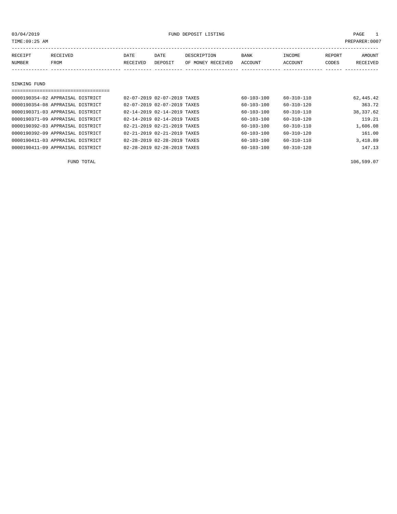| TIME:09:25 AM<br>PREPARER: 0007 |                                  |          |                             |                   |                  |            |        |           |  |  |
|---------------------------------|----------------------------------|----------|-----------------------------|-------------------|------------------|------------|--------|-----------|--|--|
| RECEIVED<br>RECEIPT             |                                  | DATE     | DATE                        | DESCRIPTION       | <b>BANK</b>      | INCOME     | REPORT | AMOUNT    |  |  |
| NUMBER                          | FROM                             | RECEIVED | DEPOSIT                     | OF MONEY RECEIVED | ACCOUNT          | ACCOUNT    | CODES  | RECEIVED  |  |  |
|                                 |                                  |          |                             |                   |                  |            |        |           |  |  |
|                                 |                                  |          |                             |                   |                  |            |        |           |  |  |
| SINKING FUND                    |                                  |          |                             |                   |                  |            |        |           |  |  |
|                                 | 0000190354-02 APPRAISAL DISTRICT |          | 02-07-2019 02-07-2019 TAXES |                   | $60 - 103 - 100$ | 60-310-110 |        |           |  |  |
|                                 |                                  |          |                             |                   |                  |            |        | 62,445.42 |  |  |

| 0000190354-08 APPRAISAL DISTRICT | 02-07-2019 02-07-2019 TAXES |                                         | $60 - 103 - 100$ | $60 - 310 - 120$ | 363.72    |
|----------------------------------|-----------------------------|-----------------------------------------|------------------|------------------|-----------|
| 0000190371-03 APPRAISAL DISTRICT | 02-14-2019 02-14-2019 TAXES |                                         | $60 - 103 - 100$ | $60 - 310 - 110$ | 38,337.62 |
| 0000190371-09 APPRAISAL DISTRICT |                             | 02-14-2019 02-14-2019 TAXES             | $60 - 103 - 100$ | $60 - 310 - 120$ | 119.21    |
| 0000190392-03 APPRAISAL DISTRICT | 02-21-2019 02-21-2019 TAXES |                                         | $60 - 103 - 100$ | $60 - 310 - 110$ | 1,606.08  |
| 0000190392-09 APPRAISAL DISTRICT |                             | $02 - 21 - 2019$ $02 - 21 - 2019$ TAXES | $60 - 103 - 100$ | $60 - 310 - 120$ | 161.00    |
| 0000190411-03 APPRAISAL DISTRICT |                             | 02-28-2019 02-28-2019 TAXES             | $60 - 103 - 100$ | $60 - 310 - 110$ | 3,418.89  |
| 0000190411-09 APPRAISAL DISTRICT |                             | 02-28-2019 02-28-2019 TAXES             | $60 - 103 - 100$ | $60 - 310 - 120$ | 147.13    |
|                                  |                             |                                         |                  |                  |           |

FUND TOTAL 106,599.07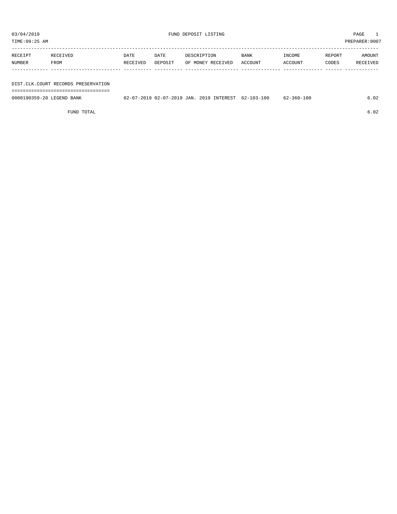| 03/04/2019<br>TIME:09:25 AM |                                                                           |                  |                 | FUND DEPOSIT LISTING             |                        |                   |                 | PAGE<br>PREPARER: 0007 |
|-----------------------------|---------------------------------------------------------------------------|------------------|-----------------|----------------------------------|------------------------|-------------------|-----------------|------------------------|
| RECEIPT<br>NUMBER           | RECEIVED<br>FROM                                                          | DATE<br>RECEIVED | DATE<br>DEPOSIT | DESCRIPTION<br>OF MONEY RECEIVED | <b>BANK</b><br>ACCOUNT | INCOME<br>ACCOUNT | REPORT<br>CODES | AMOUNT<br>RECEIVED     |
|                             | DIST.CLK.COURT RECORDS PRESERVATION<br>================================== |                  |                 |                                  |                        |                   |                 |                        |

0000190359-20 LEGEND BANK 02-07-2019 02-07-2019 JAN. 2019 INTEREST 62-103-100 62-360-100 62-360-100

FUND TOTAL 6.02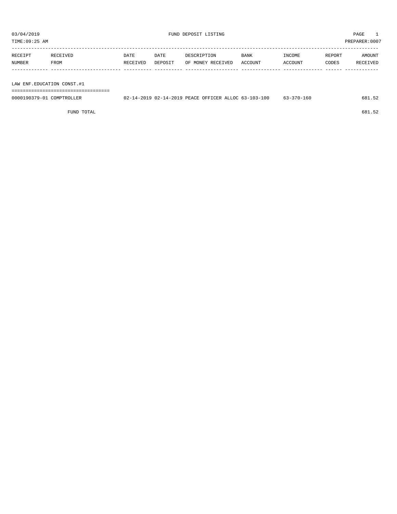| TIME:09:25 AM |          |          |         |                   |             |                |        | PREPARER: 0007 |
|---------------|----------|----------|---------|-------------------|-------------|----------------|--------|----------------|
| RECEIPT       | RECEIVED | DATE     | DATE    | DESCRIPTION       | <b>BANK</b> | INCOME         | REPORT | AMOUNT         |
| NUMBER        | FROM     | RECEIVED | DEPOSIT | OF MONEY RECEIVED | ACCOUNT     | <b>ACCOUNT</b> | CODES  | RECEIVED       |
|               |          |          |         |                   |             |                |        |                |

LAW ENF.EDUCATION CONST.#1

===================================

| 0000190379-01<br>COMPTROLLER | 02-14-2019 02-14-2019 PEACE OFFICER ALLOC 63-103-100 |  |  | $63 - 370 - 160$ | $ -$ |
|------------------------------|------------------------------------------------------|--|--|------------------|------|
|                              |                                                      |  |  |                  |      |

FUND TOTAL 681.52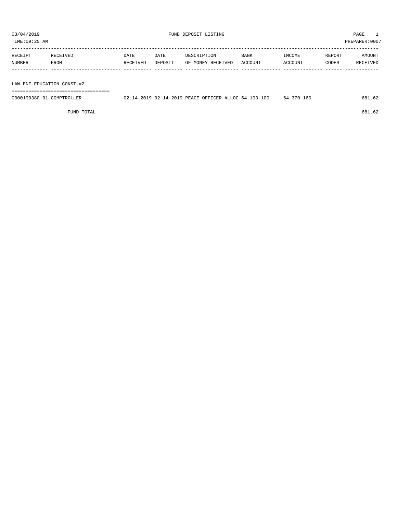| TIME:09:25 AM |          |             |         |                   |             |                |        | PREPARER: 0007 |
|---------------|----------|-------------|---------|-------------------|-------------|----------------|--------|----------------|
| RECEIPT       | RECEIVED | <b>DATE</b> | DATE    | DESCRIPTION       | <b>BANK</b> | INCOME         | REPORT | <b>AMOUNT</b>  |
| NUMBER        | FROM     | RECEIVED    | DEPOSIT | OF MONEY RECEIVED | ACCOUNT     | <b>ACCOUNT</b> | CODES  | RECEIVED       |

LAW ENF.EDUCATION CONST.#2

===================================

| 0000190380-01 COMPTROLLER | 02-14-2019 02-14-2019 PEACE OFFICER ALLOC 64-103-100 | 64-370-160 | 681<br>$\perp$ . 62 |
|---------------------------|------------------------------------------------------|------------|---------------------|
|                           |                                                      |            |                     |

FUND TOTAL  $681.62$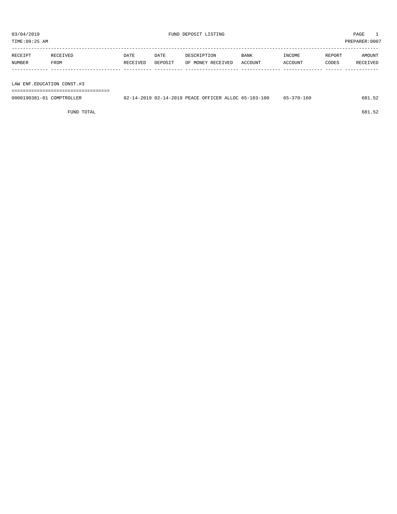| TIME:09:25 AM |          |          |         |                   |             |                |        | PREPARER: 0007 |
|---------------|----------|----------|---------|-------------------|-------------|----------------|--------|----------------|
| RECEIPT       | RECEIVED | DATE     | DATE    | DESCRIPTION       | <b>BANK</b> | INCOME         | REPORT | <b>AMOUNT</b>  |
| NUMBER        | FROM     | RECEIVED | DEPOSIT | OF MONEY RECEIVED | ACCOUNT     | <b>ACCOUNT</b> | CODES  | RECEIVED       |

LAW ENF.EDUCATION CONST.#3

===================================

| 0000190381-01 COMPTROLLER | 02-14-2019 02-14-2019 PEACE OFFICER ALLOC 65-103-100 |  | 65-370-160 | 681.52 |
|---------------------------|------------------------------------------------------|--|------------|--------|
|                           |                                                      |  |            |        |

FUND TOTAL 681.52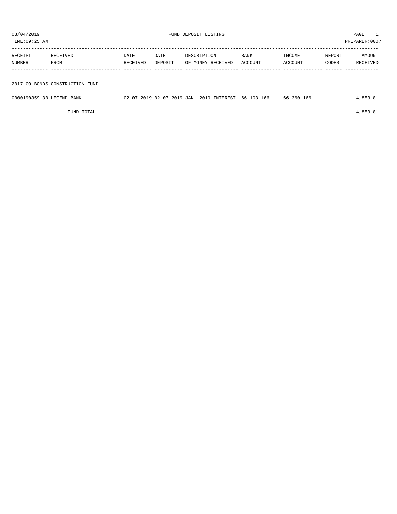| TIME:09:25 AM             |                                 |          |                                          |             |                   |             |            |        | PREPARER: 0007 |
|---------------------------|---------------------------------|----------|------------------------------------------|-------------|-------------------|-------------|------------|--------|----------------|
| RECEIPT                   | RECEIVED                        | DATE     | DATE                                     | DESCRIPTION |                   | <b>BANK</b> | INCOME     | REPORT | AMOUNT         |
| NUMBER                    | FROM                            | RECEIVED | DEPOSIT                                  |             | OF MONEY RECEIVED | ACCOUNT     | ACCOUNT    | CODES  | RECEIVED       |
|                           |                                 |          |                                          |             |                   |             |            |        |                |
|                           | 2017 GO BONDS-CONSTRUCTION FUND |          |                                          |             |                   |             |            |        |                |
|                           |                                 |          |                                          |             |                   |             |            |        |                |
| 0000190359-30 LEGEND BANK |                                 |          | 02-07-2019 02-07-2019 JAN. 2019 INTEREST |             |                   | 66-103-166  | 66-360-166 |        | 4,853.81       |

FUND TOTAL  $4,853.81$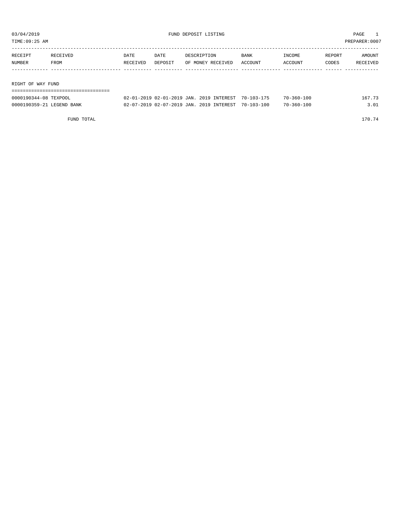| TIME:09:25 AM     |          |          |         |                   |         |         |        | PREPARER:0007 |
|-------------------|----------|----------|---------|-------------------|---------|---------|--------|---------------|
|                   |          |          |         |                   |         |         |        |               |
| RECEIPT           | RECEIVED | DATE     | DATE    | DESCRIPTION       | BANK    | INCOME  | REPORT | AMOUNT        |
| NUMBER            | FROM     | RECEIVED | DEPOSIT | OF MONEY RECEIVED | ACCOUNT | ACCOUNT | CODES  | RECEIVED      |
|                   |          |          |         |                   |         |         |        |               |
|                   |          |          |         |                   |         |         |        |               |
| RIGHT OF WAY FUND |          |          |         |                   |         |         |        |               |
|                   |          |          |         |                   |         |         |        |               |

| 0000190344-08 TEXPOOL     | 02-01-2019 02-01-2019 JAN. 2019 INTEREST 70-103-175 |  | $70 - 360 - 100$ | 167.73 |
|---------------------------|-----------------------------------------------------|--|------------------|--------|
| 0000190359-21 LEGEND BANK | 02-07-2019 02-07-2019 JAN. 2019 INTEREST 70-103-100 |  | $70 - 360 - 100$ | .01    |

FUND TOTAL 170.74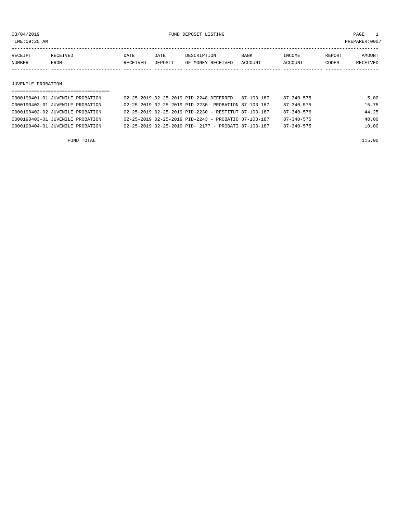03/04/2019 FUND DEPOSIT LISTING PAGE 1

| RECEIPT | RECEIVED | DATE     | DATE    | DESCRIPTION       | <b>BANK</b> | INCOME  | <b>REPORT</b> | AMOUNT          |
|---------|----------|----------|---------|-------------------|-------------|---------|---------------|-----------------|
| NUMBER  | FROM     | RECEIVED | DEPOSIT | OF MONEY RECEIVED | ACCOUNT     | ACCOUNT | CODES         | <b>RECEIVED</b> |
|         |          |          |         |                   |             |         |               |                 |

JUVENILE PROBATION

| 0000190401-01 JUVENILE PROBATION |  | 02-25-2019 02-25-2019 PID-2248 DEFERRED              |  | 87-103-187                                                       | $87 - 340 - 575$ | 5.00  |
|----------------------------------|--|------------------------------------------------------|--|------------------------------------------------------------------|------------------|-------|
| 0000190402-01 JUVENILE PROBATION |  | 02-25-2019 02-25-2019 PID-2230- PROBATION 87-103-187 |  |                                                                  | $87 - 340 - 575$ | 15.75 |
| 0000190402-02 JUVENILE PROBATION |  |                                                      |  | $02 - 25 - 2019$ $02 - 25 - 2019$ PID-2230 - RESTITUT 87-103-187 | $87 - 340 - 576$ | 44.25 |
| 0000190403-01 JUVENILE PROBATION |  |                                                      |  | $02 - 25 - 2019$ $02 - 25 - 2019$ PID-2243 - PROBATIO 87-103-187 | 87-340-575       | 40.00 |
| 0000190404-01 JUVENILE PROBATION |  |                                                      |  | 02-25-2019 02-25-2019 PID- 2177 - PROBATI 87-103-187             | $87 - 340 - 575$ | 10.00 |
|                                  |  |                                                      |  |                                                                  |                  |       |

FUND TOTAL 115.00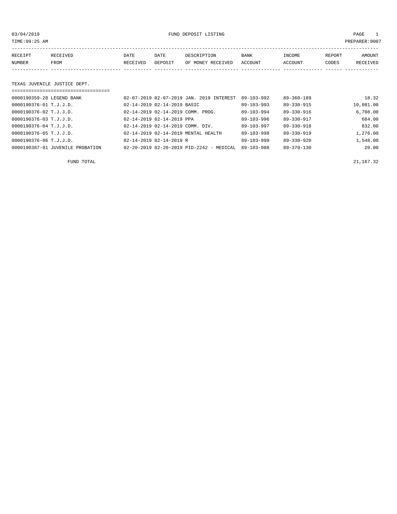03/04/2019 FUND DEPOSIT LISTING PAGE 1

| RECEIPT | RECEIVED | DATE     | DATE    | DESCRIPTION               | BANK | INCOME  | REPORT | AMOUNT   |
|---------|----------|----------|---------|---------------------------|------|---------|--------|----------|
| NUMBER  | FROM     | RECEIVED | DEPOSIT | OF MONEY RECEIVED ACCOUNT |      | ACCOUNT | CODES  | RECEIVED |
|         |          |          |         |                           |      |         |        |          |

## TEXAS JUVENILE JUSTICE DEPT.

| ================================== |                                       |                                                      |                  |                  |           |
|------------------------------------|---------------------------------------|------------------------------------------------------|------------------|------------------|-----------|
| 0000190359-28 LEGEND BANK          |                                       | 02-07-2019 02-07-2019 JAN. 2019 INTEREST             | $89 - 103 - 992$ | $89 - 360 - 189$ | 18.32     |
| 0000190376-01 T.J.J.D.             | 02-14-2019 02-14-2019 BASIC           |                                                      | $89 - 103 - 993$ | 89-330-915       | 10,081.00 |
| 0000190376-02 T.J.J.D.             | 02-14-2019 02-14-2019 COMM. PROG.     |                                                      | 89-103-994       | 89-330-916       | 6.708.00  |
| 0000190376-03 T.J.J.D.             | $02 - 14 - 2019$ $02 - 14 - 2019$ PPA |                                                      | $89 - 103 - 996$ | 89-330-917       | 684.00    |
| $0000190376 - 04$ T.J.J.D.         | 02-14-2019 02-14-2019 COMM. DIV.      |                                                      | $89 - 103 - 997$ | $89 - 330 - 918$ | 832.00    |
| 0000190376-05 T.J.J.D.             | 02-14-2019 02-14-2019 MENTAL HEALTH   |                                                      | $89 - 103 - 998$ | $89 - 330 - 919$ | 1,276.00  |
| 0000190376-06 T.J.J.D.             | $02 - 14 - 2019$ $02 - 14 - 2019$ R   |                                                      | 89-103-999       | $89 - 330 - 920$ | 1,548.00  |
| 0000190387-01 JUVENILE PROBATION   |                                       | $02 - 20 - 2019$ $02 - 20 - 2019$ PID-2242 - MEDICAL | 89-103-988       | $89 - 370 - 130$ | 20.00     |

FUND TOTAL  $21,167.32$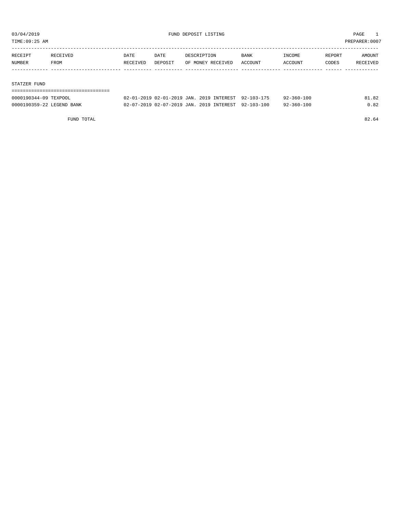TIME:09:25 AM PREPARER:0007

| RECEIPT | RECEIVED | DATE     | DATE    | DESCRIPTION       | BANK    | INCOME  | REPORT | AMOUNT   |
|---------|----------|----------|---------|-------------------|---------|---------|--------|----------|
| NUMBER  | FROM     | RECEIVED | DEPOSIT | OF MONEY RECEIVED | ACCOUNT | ACCOUNT | CODES  | RECEIVED |
|         |          |          |         |                   |         |         |        |          |
|         |          |          |         |                   |         |         |        |          |

### STATZER FUND

| -------------------------------------<br>------------------------------------- |                                 |                            |  |               |                |                  |          |
|--------------------------------------------------------------------------------|---------------------------------|----------------------------|--|---------------|----------------|------------------|----------|
| 0000190344-09<br>TEXPOOL                                                       | - 71.71<br>$\sim$ $\sim$ $\sim$ | .1-2019 JAN.<br>19 N 2-N 1 |  | 2019 INTEREST | $92 - 103 - 1$ | $92 - 360 - 100$ | $\Omega$ |

| 0000190359-22 LEGEND BANK |  | 02-07-2019 02-07-2019 JAN. 2019 INTEREST 92-103-100 |  |  | $92 - 360 - 100$ | 0.82 |
|---------------------------|--|-----------------------------------------------------|--|--|------------------|------|
|---------------------------|--|-----------------------------------------------------|--|--|------------------|------|

FUND TOTAL 82.64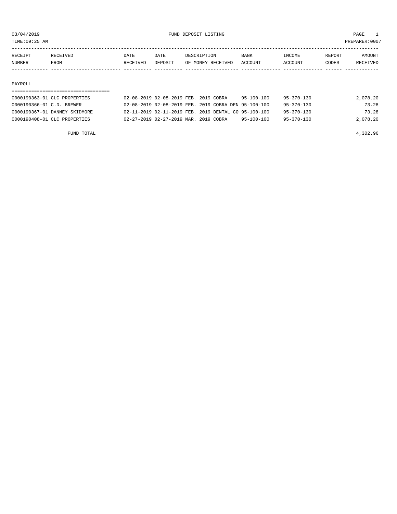TIME:09:25 AM PREPARER:0007

| RECEIPT       | RECEIVED | DATE     | DATE    | DESCRIPTION       | <b>BANK</b>    | <b>INCOME</b> | REPORT | <b>AMOUNT</b>   |
|---------------|----------|----------|---------|-------------------|----------------|---------------|--------|-----------------|
| <b>NUMBER</b> | FROM     | RECEIVED | DEPOSIT | OF MONEY RECEIVED | <b>ACCOUNT</b> | ACCOUNT       | CODES  | <b>RECEIVED</b> |
|               |          |          |         |                   |                |               |        |                 |

### PAYROLL

| 0000190363-01 CLC PROPERTIES  | 02-08-2019 02-08-2019 FEB. 2019 COBRA | 95-100-100                                                         | 95-370-130       | 2,078.20 |
|-------------------------------|---------------------------------------|--------------------------------------------------------------------|------------------|----------|
| 0000190366-01 C.D. BREWER     |                                       | 02-08-2019 02-08-2019 FEB. 2019 COBRA DEN 95-100-100               | 95-370-130       | 73.28    |
| 0000190367-01 DANNEY SKIDMORE |                                       | $0.2 - 11 - 2019$ $0.2 - 11 - 2019$ FEB. 2019 DENTAL CO 95-100-100 | $95 - 370 - 130$ | 73.28    |
| 0000190408-01 CLC PROPERTIES  | 02-27-2019 02-27-2019 MAR. 2019 COBRA | 95-100-100                                                         | $95 - 370 - 130$ | 2,078.20 |

FUND TOTAL 4,302.96